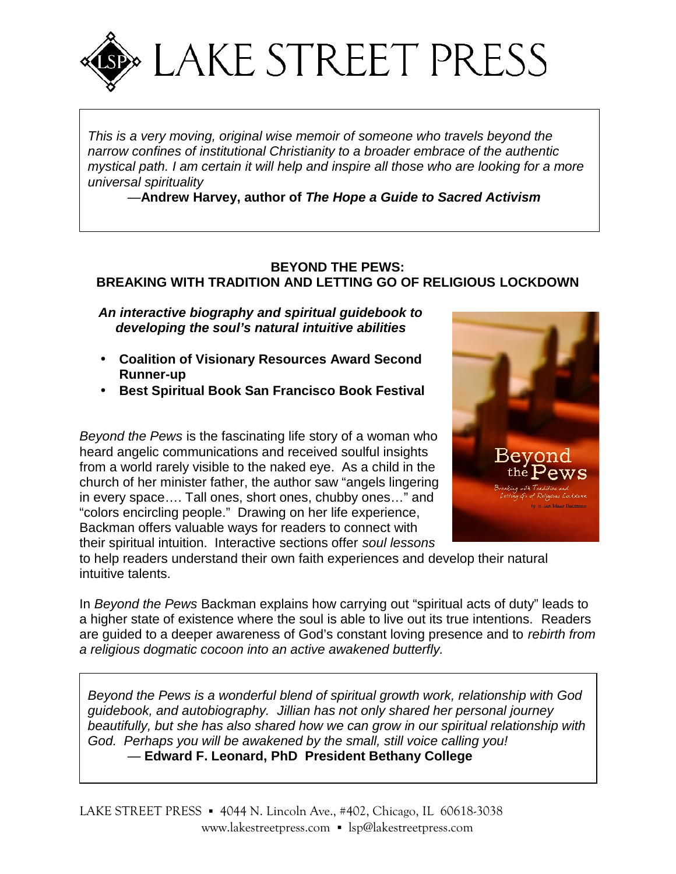

*This is a very moving, original wise memoir of someone who travels beyond the narrow confines of institutional Christianity to a broader embrace of the authentic mystical path. I am certain it will help and inspire all those who are looking for a more universal spirituality*

*—***Andrew Harvey, author of** *The Hope a Guide to Sacred Activism*

#### **BEYOND THE PEWS: BREAKING WITH TRADITION AND LETTING GO OF RELIGIOUS LOCKDOWN**

*An interactive biography and spiritual guidebook to developing the soul's natural intuitive abilities*

- **Coalition of Visionary Resources Award Second Runner-up**
- **Best Spiritual Book San Francisco Book Festival**

*Beyond the Pews* is the fascinating life story of a woman who heard angelic communications and received soulful insights from a world rarely visible to the naked eye. As a child in the church of her minister father, the author saw "angels lingering in every space…. Tall ones, short ones, chubby ones…" and "colors encircling people." Drawing on her life experience, Backman offers valuable ways for readers to connect with their spiritual intuition. Interactive sections offer *soul lessons*



to help readers understand their own faith experiences and develop their natural intuitive talents.

In *Beyond the Pews* Backman explains how carrying out "spiritual acts of duty" leads to a higher state of existence where the soul is able to live out its true intentions. Readers are guided to a deeper awareness of God's constant loving presence and to *rebirth from a religious dogmatic cocoon into an active awakened butterfly.*

*Beyond the Pews is a wonderful blend of spiritual growth work, relationship with God guidebook, and autobiography. Jillian has not only shared her personal journey beautifully, but she has also shared how we can grow in our spiritual relationship with God. Perhaps you will be awakened by the small, still voice calling you!*

 $-$  Edward F. Leonard, PhD President Bethany College

LAKE STREET PRESS 4044 N. Lincoln Ave., #402, Chicago, IL 60618-3038 <www.lakestreetpress.com> [lsp@lakestreetpress.com](mailto:lsp@lakestreetpress.com)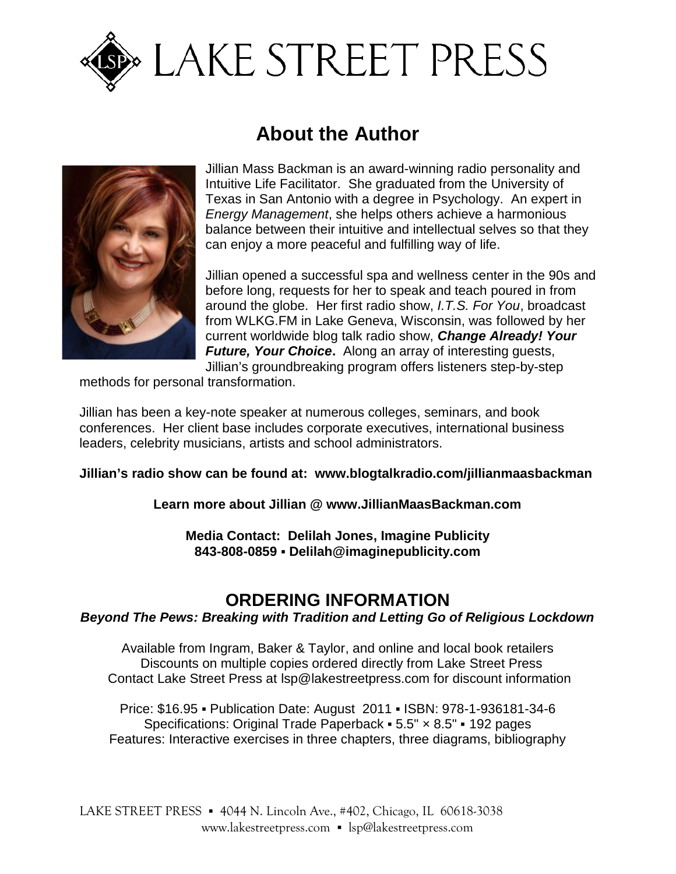

# **EXAKE STREET PRESS**

## **About the Author**



Jillian Mass Backman is an award-winning radio personality and Intuitive Life Facilitator. She graduated from the University of Texas in San Antonio with a degree in Psychology. An expert in *Energy Management*, she helps others achieve a harmonious balance between their intuitive and intellectual selves so that they can enjoy a more peaceful and fulfilling way of life.

Jillian opened a successful spa and wellness center in the 90s and before long, requests for her to speak and teach poured in from around the globe. Her first radio show, *I.T.S. For You*, broadcast from WLKG.FM in Lake Geneva, Wisconsin, was followed by her current worldwide blog talk radio show, *Change Already! Your Future, Your Choice***.** Along an array of interesting guests, Jillian's groundbreaking program offers listeners step-by-step

methods for personal transformation.

Jillian has been a key-note speaker at numerous colleges, seminars, and book conferences. Her client base includes corporate executives, international business leaders, celebrity musicians, artists and school administrators.

#### **Jillian's radio show can be found at: <www.blogtalkradio.com/jillianmaasbackman>**

**Learn more about Jillian @ <www.JillianMaasBackman.com>**

**Media Contact: Delilah Jones, Imagine Publicity 843-808-0859 [Delilah@imaginepublicity.com](mailto:Delilah@imaginepublicity.com)**

### **ORDERING INFORMATION**

*Beyond The Pews: Breaking with Tradition and Letting Go of Religious Lockdown*

Available from Ingram, Baker & Taylor, and online and local book retailers Discounts on multiple copies ordered directly from Lake Street Press Contact Lake Street Press at [lsp@lakestreetpress.com](mailto:lsp@lakestreetpress.com) for discount information

Price: \$16.95 Publication Date: August 2011 ISBN: 978-1-936181-34-6 Specifications: Original Trade Paperback  $5.5" \times 8.5"$  192 pages Features: Interactive exercises in three chapters, three diagrams, bibliography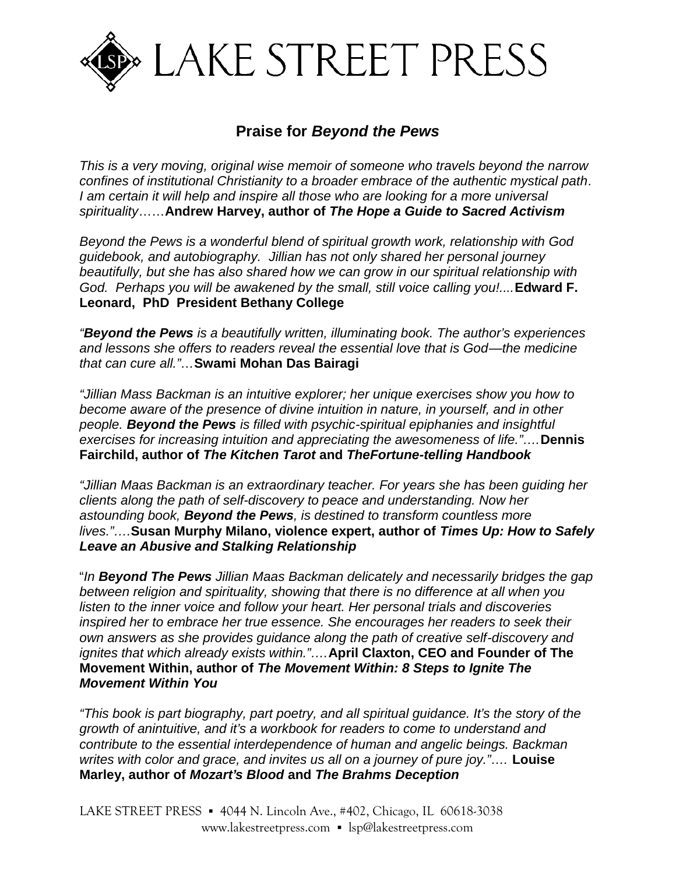

#### **Praise for** *Beyond the Pews*

*This is a very moving, original wise memoir of someone who travels beyond the narrow confines of institutional Christianity to a broader embrace of the authentic mystical path. I am certain it will help and inspire all those who are looking for a more universal spirituality*……**Andrew Harvey, author of** *The Hope a Guide to Sacred Activism*

*Beyond the Pews is a wonderful blend of spiritual growth work, relationship with God guidebook, and autobiography. Jillian has not only shared her personal journey beautifully, but she has also shared how we can grow in our spiritual relationship with God. Perhaps you will be awakened by the small, still voice calling you!....***Edward F. Leonard, PhD President Bethany College**

*"Beyond the Pews is a beautifully written, illuminating book. The author's experiences and lessons she offers to readers reveal the essential love that is God—the medicine that can cure all."…***Swami Mohan Das Bairagi**

*"Jillian Mass Backman is an intuitive explorer; her unique exercises show you how to become aware of the presence of divine intuition in nature, in yourself, and in other people. Beyond the Pews is filled with psychic-spiritual epiphanies and insightful exercises for increasing intuition and appreciating the awesomeness of life."….***Dennis Fairchild, author of** *The Kitchen Tarot* **and** *TheFortune-telling Handbook*

*"Jillian Maas Backman is an extraordinary teacher. For years she has been guiding her clients along the path of self-discovery to peace and understanding. Now her astounding book, Beyond the Pews, is destined to transform countless more lives."….***Susan Murphy Milano, violence expert, author of** *Times Up: How to Safely Leave an Abusive and Stalking Relationship*

"*In Beyond The Pews Jillian Maas Backman delicately and necessarily bridges the gap between religion and spirituality, showing that there is no difference at all when you listen to the inner voice and follow your heart. Her personal trials and discoveries inspired her to embrace her true essence. She encourages her readers to seek their own answers as she provides guidance along the path of creative self-discovery and ignites that which already exists within."….***April Claxton, CEO and Founder of The Movement Within, author of** *The Movement Within: 8 Steps to Ignite The Movement Within You*

*"This book is part biography, part poetry, and all spiritual guidance. It's the story of the growth of anintuitive, and it's a workbook for readers to come to understand and contribute to the essential interdependence of human and angelic beings. Backman writes with color and grace, and invites us all on a journey of pure joy."….* **Louise Marley, author of** *Mozart's Blood* **and** *The Brahms Deception*

LAKE STREET PRESS 4044 N. Lincoln Ave., #402, Chicago, IL 60618-3038 <www.lakestreetpress.com> [lsp@lakestreetpress.com](mailto:lsp@lakestreetpress.com)